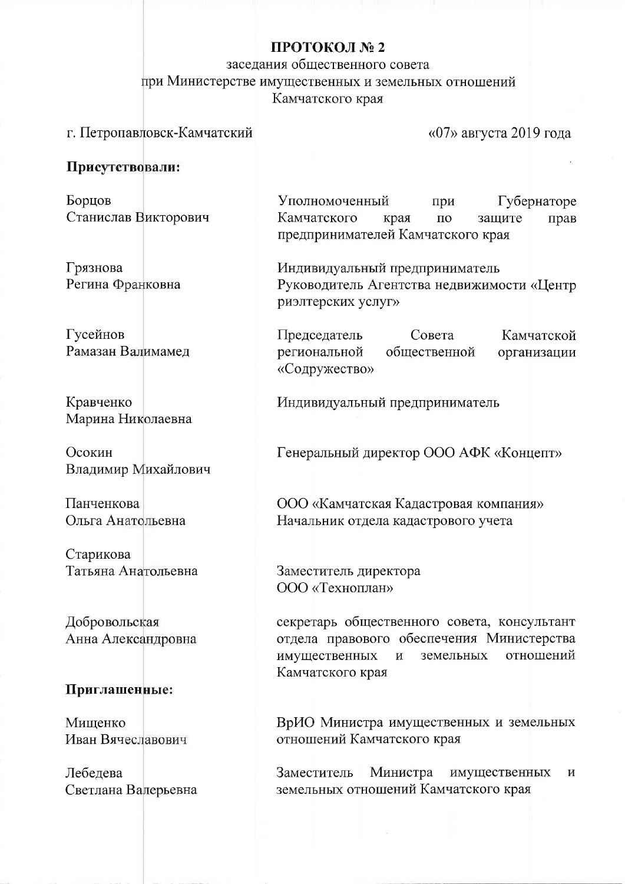## ПРОТОКОЛ № 2

заседания общественного совета при Министерстве имущественных и земельных отношений Камчатского края

# г. Петропавловск-Камчатский

«07» августа 2019 года

### Присутствовали:

Борцов Станислав Викторович

Грязнова Регина Франковна

Гусейнов Рамазан Валимамед

Кравченко Марина Николаевна

Осокин Владимир Михайлович

Панченкова Ольга Анатольевна

Старикова Татьяна Анатольевна

Добровольская Анна Александровна

#### Приглашенные:

Мишенко Иван Вячеславович

Лебедева Светлана Валерьевна

Уполномоченный Губернаторе при Камчатского края  $\Pi$ <sup>O</sup> защите прав предпринимателей Камчатского края

Индивидуальный предприниматель Руководитель Агентства недвижимости «Центр риэлтерских услуг»

Председатель Совета Камчатской региональной общественной организации «Содружество»

Индивидуальный предприниматель

Генеральный директор ООО АФК «Концепт»

ООО «Камчатская Кадастровая компания» Начальник отдела кадастрового учета

Заместитель директора ООО «Техноплан»

секретарь общественного совета, консультант отдела правового обеспечения Министерства имущественных отношений  $\overline{M}$ земельных Камчатского края

ВрИО Министра имущественных и земельных отношений Камчатского края

Министра Заместитель имущественных  $\mathbf{M}$ земельных отношений Камчатского края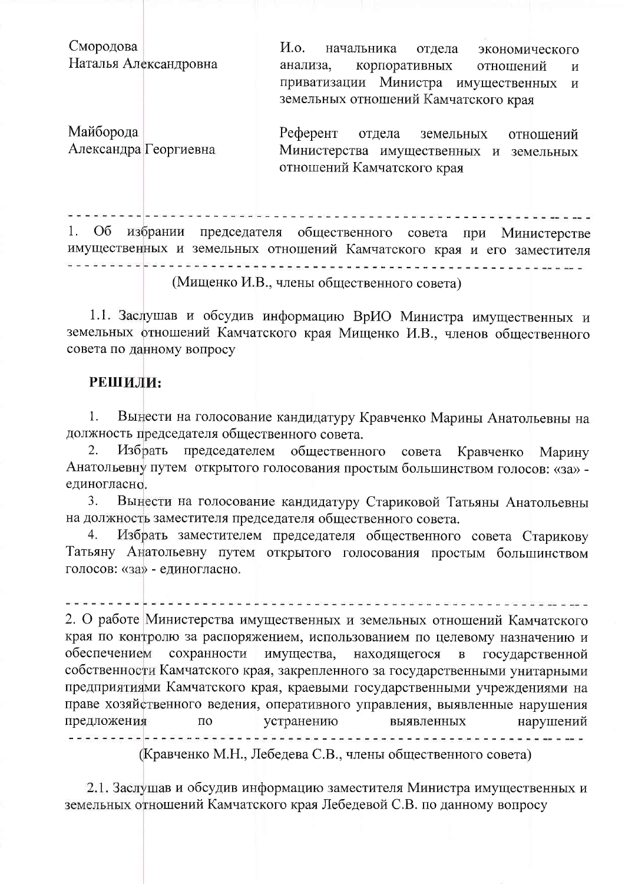Смородова *H.o.* начальника отдела экономического Наталья Александровна анализа, корпоративных отношений И приватизации Министра имущественных  $\,$  M земельных отношений Камчатского края Майборода Референт отдела земельных отношений Александра Георгиевна Министерства имущественных и земельных

1. Об избрании председателя общественного совета при Министерстве имущественных и земельных отношений Камчатского края и его заместителя (Мищенко И.В., члены общественного совета)

отношений Камчатского края

1.1. Заслушав и обсудив информацию ВрИО Министра имущественных и земельных отношений Камчатского края Мищенко И.В., членов общественного совета по данному вопросу

### РЕШИЛИ:

Вынести на голосование кандидатуру Кравченко Марины Анатольевны на 1. должность председателя общественного совета.

Избрать председателем общественного совета Кравченко 2. Марину Анатольевну путем открытого голосования простым большинством голосов: «за» единогласно.

Вынести на голосование кандидатуру Стариковой Татьяны Анатольевны  $\overline{3}$ . на должность заместителя председателя общественного совета.

Избрать заместителем председателя общественного совета Старикову  $4.$ Татьяну Анатольевну путем открытого голосования простым большинством голосов: «за» - единогласно.

andere de la provincia de Español de la provincia de la provincia de la ciudad de la ciudad de la provincia d

2. О работе Министерства имущественных и земельных отношений Камчатского края по контролю за распоряжением, использованием по целевому назначению и обеспечением сохранности имущества, находящегося государственной  $\mathbf{B}$ собственности Камчатского края, закрепленного за государственными унитарными предприятиями Камчатского края, краевыми государственными учреждениями на праве хозяйственного ведения, оперативного управления, выявленные нарушения предложения  $\Pi{\rm O}$ устранению выявленных нарушений 

(Кравченко М.Н., Лебедева С.В., члены общественного совета)

2.1. Заслушав и обсудив информацию заместителя Министра имущественных и земельных отношений Камчатского края Лебедевой С.В. по данному вопросу